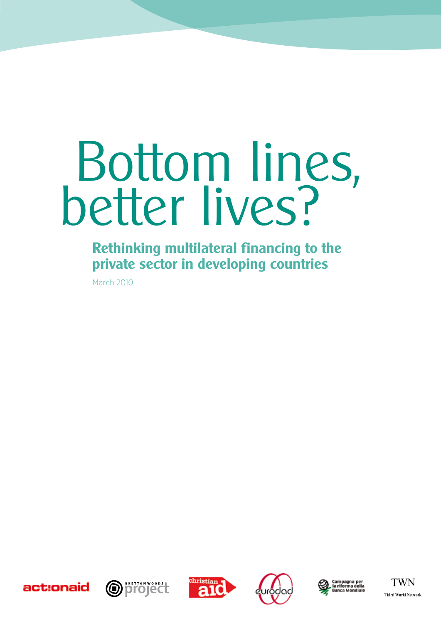# Bottom lines, better lives?

**Rethinking multilateral financing to the private sector in developing countries**

March 2010









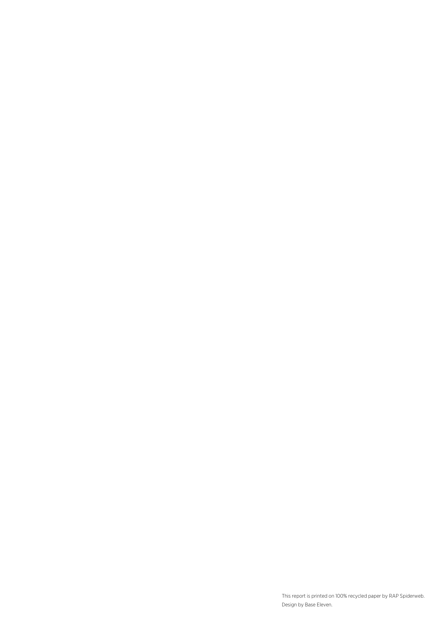This report is printed on 100% recycled paper by RAP Spiderweb. Design by Base Eleven.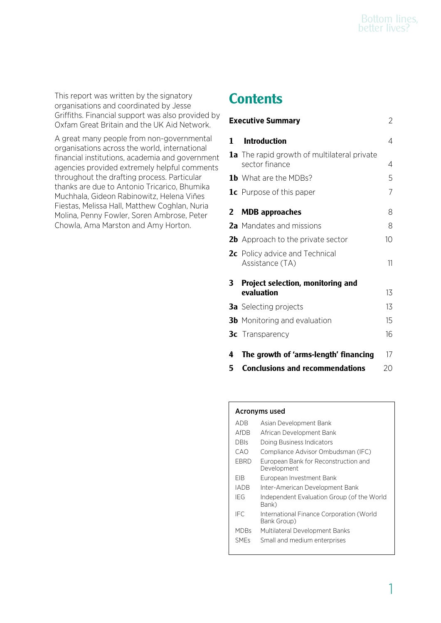This report was written by the signatory organisations and coordinated by Jesse Griffiths. Financial support was also provided by Oxfam Great Britain and the UK Aid Network.

A great many people from non-governmental organisations across the world, international financial institutions, academia and government agencies provided extremely helpful comments throughout the drafting process. Particular thanks are due to Antonio Tricarico, Bhumika Muchhala, Gideon Rabinowitz, Helena Viñes Fiestas, Melissa Hall, Matthew Coghlan, Nuria Molina, Penny Fowler, Soren Ambrose, Peter Chowla, Ama Marston and Amy Horton.

# **Contents**

|              | <b>Executive Summary</b>                                             | 2               |
|--------------|----------------------------------------------------------------------|-----------------|
| 1.           | <b>Introduction</b>                                                  | 4               |
|              | <b>1a</b> The rapid growth of multilateral private<br>sector finance | 4               |
|              | <b>1b</b> What are the MDBs?                                         | 5               |
|              | <b>1c</b> Purpose of this paper                                      | $\overline{7}$  |
| $\mathbf{2}$ | <b>MDB</b> approaches                                                | 8               |
|              | 2a Mandates and missions                                             | 8               |
|              | <b>2b</b> Approach to the private sector                             | 10 <sup>1</sup> |
|              | 2c Policy advice and Technical<br>Assistance (TA)                    | 11              |
| 3            | Project selection, monitoring and                                    |                 |
|              | evaluation                                                           | 13              |
|              | <b>3a</b> Selecting projects                                         | 13              |
|              | <b>3b</b> Monitoring and evaluation                                  | 15              |
|              | <b>3c</b> Transparency                                               | 16              |
| 4            | The growth of 'arms-length' financing                                | 17              |
| 5            | <b>Conclusions and recommendations</b>                               | 20              |

## Acronyms used

| ADB         | Asian Development Bank                                  |
|-------------|---------------------------------------------------------|
| AfDB        | African Development Bank                                |
| <b>DBIs</b> | Doing Business Indicators                               |
| CAO         | Compliance Advisor Ombudsman (IFC)                      |
| EBRD        | European Bank for Reconstruction and<br>Development     |
| FIB         | European Investment Bank                                |
| IADB        | Inter-American Development Bank                         |
| IFG         | Independent Evaluation Group (of the World<br>Bank)     |
| IFC.        | International Finance Corporation (World<br>Bank Group) |
| MDBs        | Multilateral Development Banks                          |
| <b>SMEs</b> | Small and medium enterprises                            |
|             |                                                         |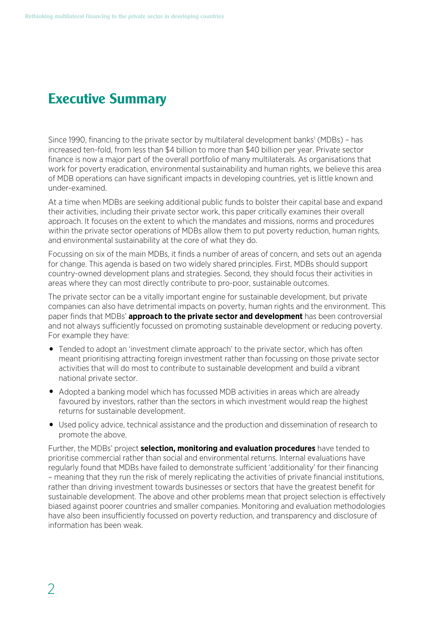# **Executive Summary**

Since 1990, financing to the private sector by multilateral development banks<sup>1</sup> (MDBs) - has increased ten-fold, from less than \$4 billion to more than \$40 billion per year. Private sector finance is now a major part of the overall portfolio of many multilaterals. As organisations that work for poverty eradication, environmental sustainability and human rights, we believe this area of MDB operations can have significant impacts in developing countries, yet is little known and under-examined.

At a time when MDBs are seeking additional public funds to bolster their capital base and expand their activities, including their private sector work, this paper critically examines their overall approach. It focuses on the extent to which the mandates and missions, norms and procedures within the private sector operations of MDBs allow them to put poverty reduction, human rights, and environmental sustainability at the core of what they do.

Focussing on six of the main MDBs, it finds a number of areas of concern, and sets out an agenda for change. This agenda is based on two widely shared principles. First, MDBs should support country-owned development plans and strategies. Second, they should focus their activities in areas where they can most directly contribute to pro-poor, sustainable outcomes.

The private sector can be a vitally important engine for sustainable development, but private companies can also have detrimental impacts on poverty, human rights and the environment. This paper finds that MDBs' **approach to the private sector and development** has been controversial and not always sufficiently focussed on promoting sustainable development or reducing poverty. For example they have:

- Tended to adopt an 'investment climate approach' to the private sector, which has often meant prioritising attracting foreign investment rather than focussing on those private sector activities that will do most to contribute to sustainable development and build a vibrant national private sector.
- Adopted a banking model which has focussed MDB activities in areas which are already favoured by investors, rather than the sectors in which investment would reap the highest returns for sustainable development.
- Used policy advice, technical assistance and the production and dissemination of research to promote the above.

Further, the MDBs' project **selection, monitoring and evaluation procedures** have tended to prioritise commercial rather than social and environmental returns. Internal evaluations have regularly found that MDBs have failed to demonstrate sufficient 'additionality' for their financing – meaning that they run the risk of merely replicating the activities of private financial institutions, rather than driving investment towards businesses or sectors that have the greatest benefit for sustainable development. The above and other problems mean that project selection is effectively biased against poorer countries and smaller companies. Monitoring and evaluation methodologies have also been insufficiently focussed on poverty reduction, and transparency and disclosure of information has been weak.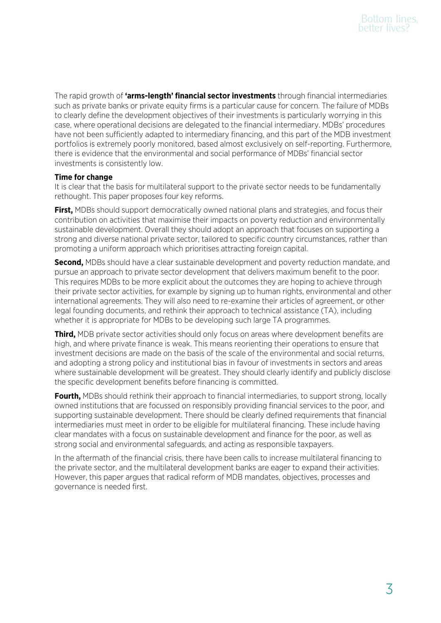The rapid growth of **'arms-length' financial sector investments** through financial intermediaries such as private banks or private equity firms is a particular cause for concern. The failure of MDBs to clearly define the development objectives of their investments is particularly worrying in this case, where operational decisions are delegated to the financial intermediary. MDBs' procedures have not been sufficiently adapted to intermediary financing, and this part of the MDB investment portfolios is extremely poorly monitored, based almost exclusively on self-reporting. Furthermore, there is evidence that the environmental and social performance of MDBs' financial sector investments is consistently low.

## **Time for change**

It is clear that the basis for multilateral support to the private sector needs to be fundamentally rethought. This paper proposes four key reforms.

**First,** MDBs should support democratically owned national plans and strategies, and focus their contribution on activities that maximise their impacts on poverty reduction and environmentally sustainable development. Overall they should adopt an approach that focuses on supporting a strong and diverse national private sector, tailored to specific country circumstances, rather than promoting a uniform approach which prioritises attracting foreign capital.

**Second,** MDBs should have a clear sustainable development and poverty reduction mandate, and pursue an approach to private sector development that delivers maximum benefit to the poor. This requires MDBs to be more explicit about the outcomes they are hoping to achieve through their private sector activities, for example by signing up to human rights, environmental and other international agreements. They will also need to re-examine their articles of agreement, or other legal founding documents, and rethink their approach to technical assistance (TA), including whether it is appropriate for MDBs to be developing such large TA programmes.

**Third,** MDB private sector activities should only focus on areas where development benefits are high, and where private finance is weak. This means reorienting their operations to ensure that investment decisions are made on the basis of the scale of the environmental and social returns, and adopting a strong policy and institutional bias in favour of investments in sectors and areas where sustainable development will be greatest. They should clearly identify and publicly disclose the specific development benefits before financing is committed.

**Fourth,** MDBs should rethink their approach to financial intermediaries, to support strong, locally owned institutions that are focussed on responsibly providing financial services to the poor, and supporting sustainable development. There should be clearly defined requirements that financial intermediaries must meet in order to be eligible for multilateral financing. These include having clear mandates with a focus on sustainable development and finance for the poor, as well as strong social and environmental safeguards, and acting as responsible taxpayers.

In the aftermath of the financial crisis, there have been calls to increase multilateral financing to the private sector, and the multilateral development banks are eager to expand their activities. However, this paper argues that radical reform of MDB mandates, objectives, processes and governance is needed first.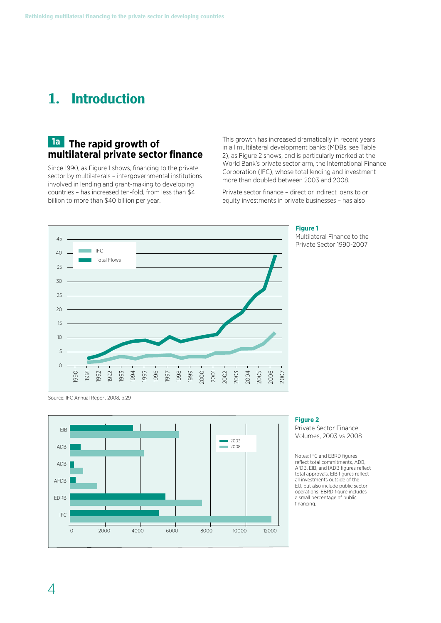# **1. Introduction**

## **1a The rapid growth of multilateral private sector finance**

Since 1990, as Figure 1 shows, financing to the private sector by multilaterals – intergovernmental institutions involved in lending and grant-making to developing countries – has increased ten-fold, from less than \$4 billion to more than \$40 billion per year.

This growth has increased dramatically in recent years in all multilateral development banks (MDBs, see Table 2), as Figure 2 shows, and is particularly marked at the World Bank's private sector arm, the International Finance Corporation (IFC), whose total lending and investment more than doubled between 2003 and 2008.

Private sector finance – direct or indirect loans to or equity investments in private businesses – has also



#### **Figure 1**

Multilateral Finance to the Private Sector 1990-2007

Source: IFC Annual Report 2008. p.29



## **Figure 2**

Private Sector Finance Volumes, 2003 vs 2008

Notes: IFC and EBRD figures reflect total commitments, ADB, AfDB, EIB, and IADB figures reflect total approvals. EIB figures reflect all investments outside of the EU, but also include public sector operations. EBRD figure includes a small percentage of public financing.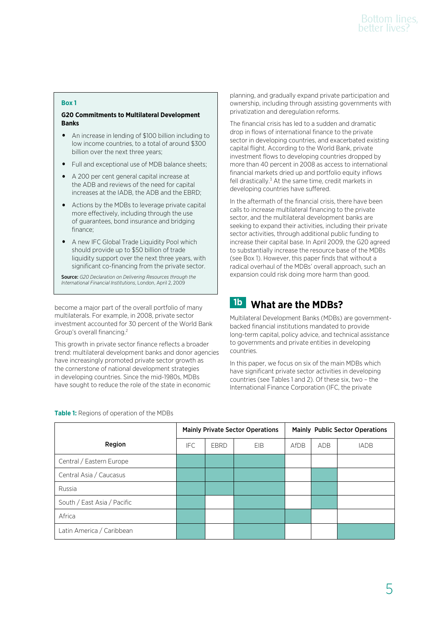## **Box 1**

## **G20 Commitments to Multilateral Development Banks**

- An increase in lending of \$100 billion including to low income countries, to a total of around \$300 billion over the next three years;
- Full and exceptional use of MDB balance sheets;
- A 200 per cent general capital increase at the ADB and reviews of the need for capital increases at the IADB, the ADB and the EBRD;
- Actions by the MDBs to leverage private capital more effectively, including through the use of guarantees, bond insurance and bridging finance;
- A new IFC Global Trade Liquidity Pool which should provide up to \$50 billion of trade liquidity support over the next three years, with significant co-financing from the private sector.

Source: *G20 Declaration on Delivering Resources through the International Financial Institutions*, London, April 2, 2009

become a major part of the overall portfolio of many multilaterals. For example, in 2008, private sector investment accounted for 30 percent of the World Bank Group's overall financing.2

This growth in private sector finance reflects a broader trend: multilateral development banks and donor agencies have increasingly promoted private sector growth as the cornerstone of national development strategies in developing countries. Since the mid-1980s, MDBs have sought to reduce the role of the state in economic

planning, and gradually expand private participation and ownership, including through assisting governments with privatization and deregulation reforms.

The financial crisis has led to a sudden and dramatic drop in flows of international finance to the private sector in developing countries, and exacerbated existing capital flight. According to the World Bank, private investment flows to developing countries dropped by more than 40 percent in 2008 as access to international financial markets dried up and portfolio equity inflows fell drastically.<sup>3</sup> At the same time, credit markets in developing countries have suffered.

In the aftermath of the financial crisis, there have been calls to increase multilateral financing to the private sector, and the multilateral development banks are seeking to expand their activities, including their private sector activities, through additional public funding to increase their capital base. In April 2009, the G20 agreed to substantially increase the resource base of the MDBs (see Box 1). However, this paper finds that without a radical overhaul of the MDBs' overall approach, such an expansion could risk doing more harm than good.

## **1b What are the MDBs?**

Multilateral Development Banks (MDBs) are governmentbacked financial institutions mandated to provide long-term capital, policy advice, and technical assistance to governments and private entities in developing countries.

In this paper, we focus on six of the main MDBs which have significant private sector activities in developing countries (see Tables 1 and 2). Of these six, two – the International Finance Corporation (IFC, the private

|                             | <b>Mainly Private Sector Operations</b> |             |            | <b>Mainly Public Sector Operations</b> |     |             |
|-----------------------------|-----------------------------------------|-------------|------------|----------------------------------------|-----|-------------|
| Region                      | <b>IFC</b>                              | <b>EBRD</b> | <b>EIB</b> | AfDB                                   | ADB | <b>IADB</b> |
| Central / Eastern Europe    |                                         |             |            |                                        |     |             |
| Central Asia / Caucasus     |                                         |             |            |                                        |     |             |
| Russia                      |                                         |             |            |                                        |     |             |
| South / East Asia / Pacific |                                         |             |            |                                        |     |             |
| Africa                      |                                         |             |            |                                        |     |             |
| Latin America / Caribbean   |                                         |             |            |                                        |     |             |

## **Table 1:** Regions of operation of the MDBs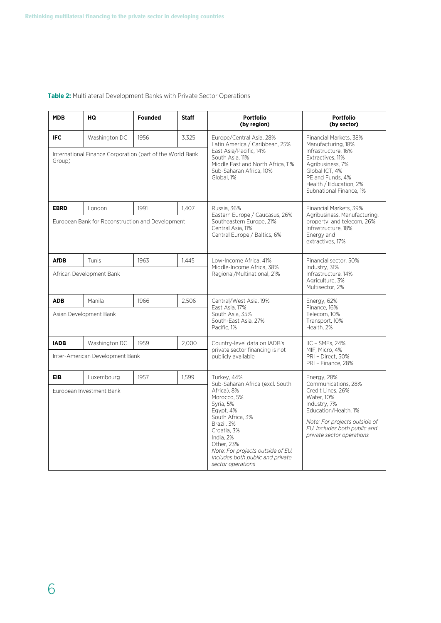## **Table 2:** Multilateral Development Banks with Private Sector Operations

| <b>MDB</b>                                                                                                          | HQ | <b>Founded</b> | <b>Staff</b> | <b>Portfolio</b><br>(by region)                                                                                                                                                                                                                                                  | <b>Portfolio</b><br>(by sector)                                                                                                                                                                             |
|---------------------------------------------------------------------------------------------------------------------|----|----------------|--------------|----------------------------------------------------------------------------------------------------------------------------------------------------------------------------------------------------------------------------------------------------------------------------------|-------------------------------------------------------------------------------------------------------------------------------------------------------------------------------------------------------------|
| <b>IFC</b><br>1956<br>3,325<br>Washington DC<br>International Finance Corporation (part of the World Bank<br>Group) |    |                |              | Europe/Central Asia, 28%<br>Latin America / Caribbean, 25%<br>East Asia/Pacific, 14%<br>South Asia, 11%<br>Middle East and North Africa. 11%<br>Sub-Saharan Africa, 10%<br>Global, 1%                                                                                            | Financial Markets, 38%<br>Manufacturing, 18%<br>Infrastructure, 16%<br>Extractives, 11%<br>Agribusiness, 7%<br>Global ICT, 4%<br>PE and Funds, 4%<br>Health / Education, 2%<br>Subnational Finance, 1%      |
| <b>EBRD</b><br>1991<br>London<br>1.407<br>European Bank for Reconstruction and Development                          |    |                |              | Russia, 36%<br>Eastern Europe / Caucasus, 26%<br>Southeastern Europe, 21%<br>Central Asia, 11%<br>Central Europe / Baltics, 6%                                                                                                                                                   | Financial Markets, 39%<br>Agribusiness, Manufacturing,<br>property, and telecom, 26%<br>Infrastructure, 18%<br>Energy and<br>extractives, 17%                                                               |
| <b>AfDB</b><br>Tunis<br>1963<br>1,445<br>African Development Bank                                                   |    |                |              | Low-Income Africa, 41%<br>Middle-Income Africa, 38%<br>Regional/Multinational, 21%                                                                                                                                                                                               | Financial sector, 50%<br>Industry, 31%<br>Infrastructure, 14%<br>Agriculture, 3%<br>Multisector, 2%                                                                                                         |
| <b>ADB</b><br>1966<br>2.506<br>Manila<br>Asian Development Bank                                                     |    |                |              | Central/West Asia, 19%<br>East Asia, 17%<br>South Asia, 35%<br>South-East Asia, 27%<br>Pacific, 1%                                                                                                                                                                               | Energy, 62%<br>Finance, 16%<br>Telecom. 10%<br>Transport, 10%<br>Health, 2%                                                                                                                                 |
| 2,000<br><b>IADB</b><br>Washington DC<br>1959<br>Inter-American Development Bank                                    |    |                |              | Country-level data on IADB's<br>private sector financing is not<br>publicly available                                                                                                                                                                                            | IIC - SMEs, 24%<br>MIF. Micro. 4%<br>PRI - Direct, 50%<br>PRI - Finance, 28%                                                                                                                                |
| 1957<br>1,599<br><b>EIB</b><br>Luxembourg<br>European Investment Bank                                               |    |                |              | Turkey, 44%<br>Sub-Saharan Africa (excl. South<br>Africa). 8%<br>Morocco, 5%<br>Syria, 5%<br>Egypt, 4%<br>South Africa, 3%<br>Brazil, 3%<br>Croatia, 3%<br>India, 2%<br>Other, 23%<br>Note: For projects outside of EU.<br>Includes both public and private<br>sector operations | Energy, 28%<br>Communications, 28%<br>Credit Lines, 26%<br>Water, 10%<br>Industry, 7%<br>Education/Health, 1%<br>Note: For projects outside of<br>EU. Includes both public and<br>private sector operations |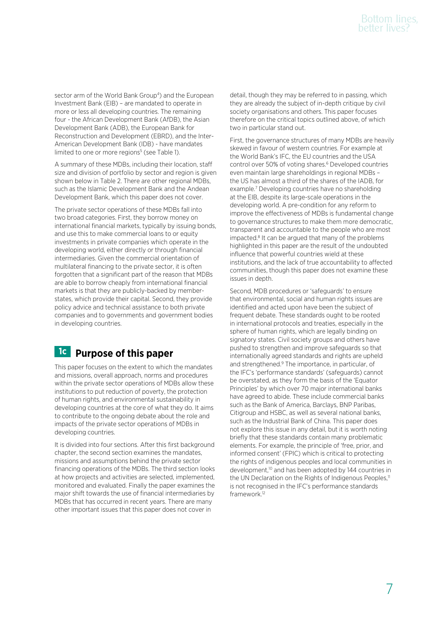sector arm of the World Bank Group<sup>4</sup>) and the European Investment Bank (EIB) – are mandated to operate in more or less all developing countries. The remaining four - the African Development Bank (AfDB), the Asian Development Bank (ADB), the European Bank for Reconstruction and Development (EBRD), and the Inter-American Development Bank (IDB) - have mandates limited to one or more regions<sup>5</sup> (see Table 1).

A summary of these MDBs, including their location, staff size and division of portfolio by sector and region is given shown below in Table 2. There are other regional MDBs, such as the Islamic Development Bank and the Andean Development Bank, which this paper does not cover.

The private sector operations of these MDBs fall into two broad categories. First, they borrow money on international financial markets, typically by issuing bonds, and use this to make commercial loans to or equity investments in private companies which operate in the developing world, either directly or through financial intermediaries. Given the commercial orientation of multilateral financing to the private sector, it is often forgotten that a significant part of the reason that MDBs are able to borrow cheaply from international financial markets is that they are publicly-backed by memberstates, which provide their capital. Second, they provide policy advice and technical assistance to both private companies and to governments and government bodies in developing countries.

## **1c Purpose of this paper**

This paper focuses on the extent to which the mandates and missions, overall approach, norms and procedures within the private sector operations of MDBs allow these institutions to put reduction of poverty, the protection of human rights, and environmental sustainability in developing countries at the core of what they do. It aims to contribute to the ongoing debate about the role and impacts of the private sector operations of MDBs in developing countries.

It is divided into four sections. After this first background chapter, the second section examines the mandates, missions and assumptions behind the private sector financing operations of the MDBs. The third section looks at how projects and activities are selected, implemented, monitored and evaluated. Finally the paper examines the major shift towards the use of financial intermediaries by MDBs that has occurred in recent years. There are many other important issues that this paper does not cover in

detail, though they may be referred to in passing, which they are already the subject of in-depth critique by civil society organisations and others. This paper focuses therefore on the critical topics outlined above, of which two in particular stand out.

First, the governance structures of many MDBs are heavily skewed in favour of western countries. For example at the World Bank's IFC, the EU countries and the USA control over 50% of voting shares.6 Developed countries even maintain large shareholdings in regional MDBs – the US has almost a third of the shares of the IADB, for example.7 Developing countries have no shareholding at the EIB, despite its large-scale operations in the developing world. A pre-condition for any reform to improve the effectiveness of MDBs is fundamental change to governance structures to make them more democratic, transparent and accountable to the people who are most impacted.<sup>8</sup> It can be argued that many of the problems highlighted in this paper are the result of the undoubted influence that powerful countries wield at these institutions, and the lack of true accountability to affected communities, though this paper does not examine these issues in depth.

Second, MDB procedures or 'safeguards' to ensure that environmental, social and human rights issues are identified and acted upon have been the subject of frequent debate. These standards ought to be rooted in international protocols and treaties, especially in the sphere of human rights, which are legally binding on signatory states. Civil society groups and others have pushed to strengthen and improve safeguards so that internationally agreed standards and rights are upheld and strengthened.<sup>9</sup> The importance, in particular, of the IFC's 'performance standards' (safeguards) cannot be overstated, as they form the basis of the 'Equator Principles' by which over 70 major international banks have agreed to abide. These include commercial banks such as the Bank of America, Barclays, BNP Paribas, Citigroup and HSBC, as well as several national banks, such as the Industrial Bank of China. This paper does not explore this issue in any detail, but it is worth noting briefly that these standards contain many problematic elements. For example, the principle of 'free, prior, and informed consent' (FPIC) which is critical to protecting the rights of indigenous peoples and local communities in development,10 and has been adopted by 144 countries in the UN Declaration on the Rights of Indigenous Peoples,<sup>11</sup> is not recognised in the IFC's performance standards framework.12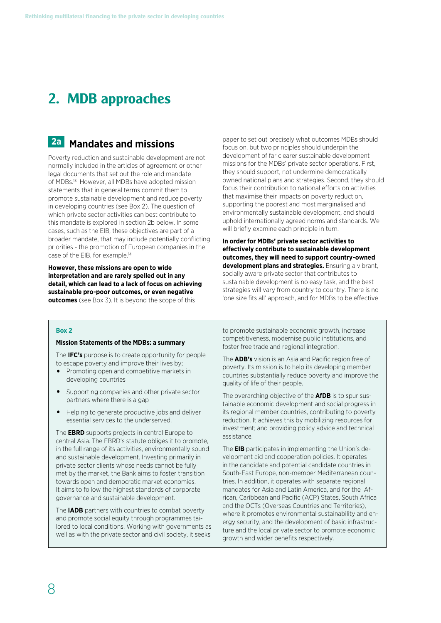# **2. MDB approaches**

## **2a Mandates and missions**

Poverty reduction and sustainable development are not normally included in the articles of agreement or other legal documents that set out the role and mandate of MDBs.<sup>13</sup> However, all MDBs have adopted mission statements that in general terms commit them to promote sustainable development and reduce poverty in developing countries (see Box 2). The question of which private sector activities can best contribute to this mandate is explored in section 2b below. In some cases, such as the EIB, these objectives are part of a broader mandate, that may include potentially conflicting priorities - the promotion of European companies in the case of the EIB, for example.14

**However, these missions are open to wide interpretation and are rarely spelled out in any detail, which can lead to a lack of focus on achieving sustainable pro-poor outcomes, or even negative outcomes** (see Box 3). It is beyond the scope of this

paper to set out precisely what outcomes MDBs should focus on, but two principles should underpin the development of far clearer sustainable development missions for the MDBs' private sector operations. First, they should support, not undermine democratically owned national plans and strategies. Second, they should focus their contribution to national efforts on activities that maximise their impacts on poverty reduction, supporting the poorest and most marginalised and environmentally sustainable development, and should uphold internationally agreed norms and standards. We will briefly examine each principle in turn.

**In order for MDBs' private sector activities to effectively contribute to sustainable development outcomes, they will need to support country-owned development plans and strategies.** Ensuring a vibrant, socially aware private sector that contributes to sustainable development is no easy task, and the best strategies will vary from country to country. There is no 'one size fits all' approach, and for MDBs to be effective

## **Box 2**

#### **Mission Statements of the MDBs: a summary**

The **IFC's** purpose is to create opportunity for people to escape poverty and improve their lives by;

- Promoting open and competitive markets in developing countries
- Supporting companies and other private sector partners where there is a gap
- Helping to generate productive jobs and deliver essential services to the underserved.

The **EBRD** supports projects in central Europe to central Asia. The EBRD's statute obliges it to promote, in the full range of its activities, environmentally sound and sustainable development. Investing primarily in private sector clients whose needs cannot be fully met by the market, the Bank aims to foster transition towards open and democratic market economies. It aims to follow the highest standards of corporate governance and sustainable development.

The **IADB** partners with countries to combat poverty and promote social equity through programmes tailored to local conditions. Working with governments as well as with the private sector and civil society, it seeks

to promote sustainable economic growth, increase competitiveness, modernise public institutions, and foster free trade and regional integration.

The **ADB's** vision is an Asia and Pacific region free of poverty. Its mission is to help its developing member countries substantially reduce poverty and improve the quality of life of their people.

The overarching objective of the **AfDB** is to spur sustainable economic development and social progress in its regional member countries, contributing to poverty reduction. It achieves this by mobilizing resources for investment; and providing policy advice and technical assistance.

The **EIB** participates in implementing the Union's development aid and cooperation policies. It operates in the candidate and potential candidate countries in South-East Europe, non-member Mediterranean countries. In addition, it operates with separate regional mandates for Asia and Latin America, and for the African, Caribbean and Pacific (ACP) States, South Africa and the OCTs (Overseas Countries and Territories), where it promotes environmental sustainability and energy security, and the development of basic infrastructure and the local private sector to promote economic growth and wider benefits respectively.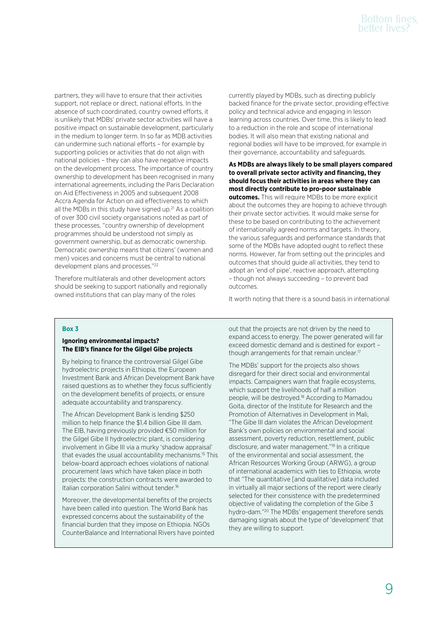partners, they will have to ensure that their activities support, not replace or direct, national efforts. In the absence of such coordinated, country owned efforts, it is unlikely that MDBs' private sector activities will have a positive impact on sustainable development, particularly in the medium to longer term. In so far as MDB activities can undermine such national efforts – for example by supporting policies or activities that do not align with national policies – they can also have negative impacts on the development process. The importance of country ownership to development has been recognised in many international agreements, including the Paris Declaration on Aid Effectiveness in 2005 and subsequent 2008 Accra Agenda for Action on aid effectiveness to which all the MDBs in this study have signed up.<sup>21</sup> As a coalition of over 300 civil society organisations noted as part of these processes, "country ownership of development programmes should be understood not simply as government ownership, but as democratic ownership. Democratic ownership means that citizens' (women and men) voices and concerns must be central to national development plans and processes."22

Therefore multilaterals and other development actors should be seeking to support nationally and regionally owned institutions that can play many of the roles

currently played by MDBs, such as directing publicly backed finance for the private sector, providing effective policy and technical advice and engaging in lesson learning across countries. Over time, this is likely to lead to a reduction in the role and scope of international bodies. It will also mean that existing national and regional bodies will have to be improved, for example in their governance, accountability and safeguards.

## **As MDBs are always likely to be small players compared to overall private sector activity and financing, they should focus their activities in areas where they can most directly contribute to pro-poor sustainable**

**outcomes.** This will require MDBs to be more explicit about the outcomes they are hoping to achieve through their private sector activities. It would make sense for these to be based on contributing to the achievement of internationally agreed norms and targets. In theory, the various safeguards and performance standards that some of the MDBs have adopted ought to reflect these norms. However, far from setting out the principles and outcomes that should guide all activities, they tend to adopt an 'end of pipe', reactive approach, attempting – though not always succeeding – to prevent bad outcomes.

It worth noting that there is a sound basis in international

## **Box 3**

## **Ignoring environmental impacts? The EIB's finance for the Gilgel Gibe projects**

By helping to finance the controversial Gilgel Gibe hydroelectric projects in Ethiopia, the European Investment Bank and African Development Bank have raised questions as to whether they focus sufficiently on the development benefits of projects, or ensure adequate accountability and transparency.

The African Development Bank is lending \$250 million to help finance the \$1.4 billion Gibe III dam. The EIB, having previously provided €50 million for the Gilgel Gibe II hydroelectric plant, is considering involvement in Gibe III via a murky 'shadow appraisal' that evades the usual accountability mechanisms.15 This below-board approach echoes violations of national procurement laws which have taken place in both projects: the construction contracts were awarded to Italian corporation Salini without tender.<sup>16</sup>

Moreover, the developmental benefits of the projects have been called into question. The World Bank has expressed concerns about the sustainability of the financial burden that they impose on Ethiopia. NGOs CounterBalance and International Rivers have pointed out that the projects are not driven by the need to expand access to energy. The power generated will far exceed domestic demand and is destined for export – though arrangements for that remain unclear.<sup>17</sup>

The MDBs' support for the projects also shows disregard for their direct social and environmental impacts. Campaigners warn that fragile ecosystems, which support the livelihoods of half a million people, will be destroyed.18 According to Mamadou Goita, director of the Institute for Research and the Promotion of Alternatives in Development in Mali, "The Gibe III dam violates the African Development Bank's own policies on environmental and social assessment, poverty reduction, resettlement, public disclosure, and water management."19 In a critique of the environmental and social assessment, the African Resources Working Group (ARWG), a group of international academics with ties to Ethiopia, wrote that "The quantitative [and qualitative] data included in virtually all major sections of the report were clearly selected for their consistence with the predetermined objective of validating the completion of the Gibe 3 hydro-dam."20 The MDBs' engagement therefore sends damaging signals about the type of 'development' that they are willing to support.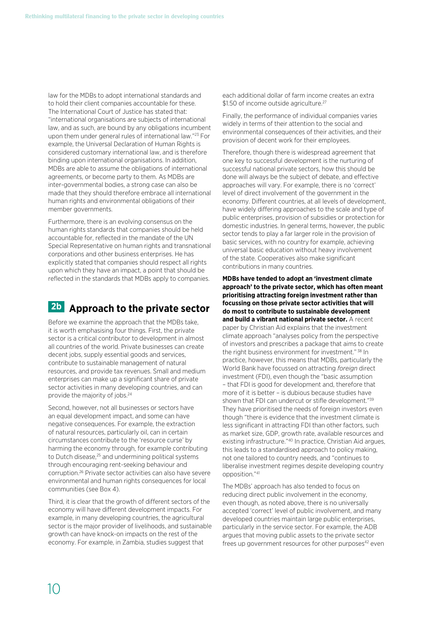law for the MDBs to adopt international standards and to hold their client companies accountable for these. The International Court of Justice has stated that: "international organisations are subjects of international law, and as such, are bound by any obligations incumbent upon them under general rules of international law."23 For example, the Universal Declaration of Human Rights is considered customary international law, and is therefore binding upon international organisations. In addition, MDBs are able to assume the obligations of international agreements, or become party to them. As MDBs are inter-governmental bodies, a strong case can also be made that they should therefore embrace all international human rights and environmental obligations of their member governments.

Furthermore, there is an evolving consensus on the human rights standards that companies should be held accountable for, reflected in the mandate of the UN Special Representative on human rights and transnational corporations and other business enterprises. He has explicitly stated that companies should respect all rights upon which they have an impact, a point that should be reflected in the standards that MDBs apply to companies.

# **2b Approach to the private sector**

Before we examine the approach that the MDBs take, it is worth emphasising four things. First, the private sector is a critical contributor to development in almost all countries of the world. Private businesses can create decent jobs, supply essential goods and services, contribute to sustainable management of natural resources, and provide tax revenues. Small and medium enterprises can make up a significant share of private sector activities in many developing countries, and can provide the majority of jobs.<sup>24</sup>

Second, however, not all businesses or sectors have an equal development impact, and some can have negative consequences. For example, the extraction of natural resources, particularly oil, can in certain circumstances contribute to the 'resource curse' by harming the economy through, for example contributing to Dutch disease,<sup>25</sup> and undermining political systems through encouraging rent-seeking behaviour and corruption.26 Private sector activities can also have severe environmental and human rights consequences for local communities (see Box 4).

Third, it is clear that the growth of different sectors of the economy will have different development impacts. For example, in many developing countries, the agricultural sector is the major provider of livelihoods, and sustainable growth can have knock-on impacts on the rest of the economy. For example, in Zambia, studies suggest that

each additional dollar of farm income creates an extra \$1.50 of income outside agriculture.<sup>27</sup>

Finally, the performance of individual companies varies widely in terms of their attention to the social and environmental consequences of their activities, and their provision of decent work for their employees.

Therefore, though there is widespread agreement that one key to successful development is the nurturing of successful national private sectors, how this should be done will always be the subject of debate, and effective approaches will vary. For example, there is no 'correct' level of direct involvement of the government in the economy. Different countries, at all levels of development, have widely differing approaches to the scale and type of public enterprises, provision of subsidies or protection for domestic industries. In general terms, however, the public sector tends to play a far larger role in the provision of basic services, with no country for example, achieving universal basic education without heavy involvement of the state. Cooperatives also make significant contributions in many countries.

**MDBs have tended to adopt an 'investment climate approach' to the private sector, which has often meant prioritising attracting foreign investment rather than focussing on those private sector activities that will do most to contribute to sustainable development and build a vibrant national private sector.** A recent paper by Christian Aid explains that the investment climate approach "analyses policy from the perspective of investors and prescribes a package that aims to create the right business environment for investment." 38 In practice, however, this means that MDBs, particularly the World Bank have focussed on attracting *foreign* direct investment (FDI), even though the "basic assumption – that FDI is good for development and, therefore that more of it is better – is dubious because studies have shown that FDI can undercut or stifle development."<sup>39</sup> They have prioritised the needs of foreign investors even though "there is evidence that the investment climate is less significant in attracting FDI than other factors, such as market size, GDP, growth rate, available resources and existing infrastructure."40 In practice, Christian Aid argues, this leads to a standardised approach to policy making, not one tailored to country needs, and "continues to liberalise investment regimes despite developing country opposition."41

The MDBs' approach has also tended to focus on reducing direct public involvement in the economy, even though, as noted above, there is no universally accepted 'correct' level of public involvement, and many developed countries maintain large public enterprises, particularly in the service sector. For example, the ADB argues that moving public assets to the private sector frees up government resources for other purposes<sup>42</sup> even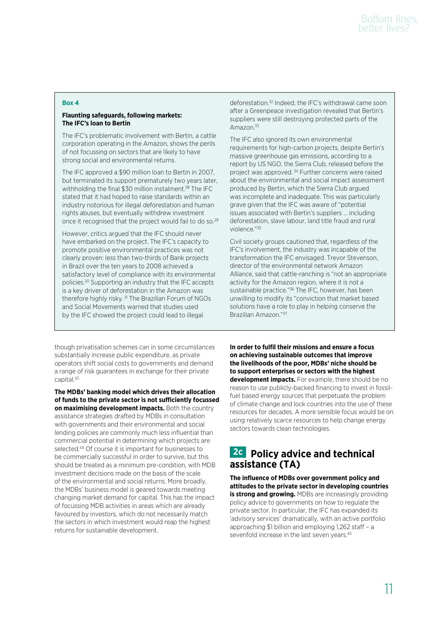## **Box 4**

## **Flaunting safeguards, following markets: The IFC's loan to Bertin**

The IFC's problematic involvement with Bertin, a cattle corporation operating in the Amazon, shows the perils of not focussing on sectors that are likely to have strong social and environmental returns.

The IFC approved a \$90 million loan to Bertin in 2007, but terminated its support prematurely two years later, withholding the final \$30 million instalment.<sup>28</sup> The IFC stated that it had hoped to raise standards within an industry notorious for illegal deforestation and human rights abuses, but eventually withdrew investment once it recognised that the project would fail to do so.29

However, critics argued that the IFC should never have embarked on the project. The IFC's capacity to promote positive environmental practices was not clearly proven: less than two-thirds of Bank projects in Brazil over the ten years to 2008 achieved a satisfactory level of compliance with its environmental policies.30 Supporting an industry that the IFC accepts is a key driver of deforestation in the Amazon was therefore highly risky. 31 The Brazilian Forum of NGOs and Social Movements warned that studies used by the IFC showed the project could lead to illegal

deforestation.32 Indeed, the IFC's withdrawal came soon after a Greenpeace investigation revealed that Bertin's suppliers were still destroying protected parts of the Amazon<sup>33</sup>

The IFC also ignored its own environmental requirements for high-carbon projects, despite Bertin's massive greenhouse gas emissions, according to a report by US NGO, the Sierra Club, released before the project was approved. 34 Further concerns were raised about the environmental and social impact assessment produced by Bertin, which the Sierra Club argued was incomplete and inadequate. This was particularly grave given that the IFC was aware of "potential issues associated with Bertin's suppliers … including deforestation, slave labour, land title fraud and rural violence."35

Civil society groups cautioned that, regardless of the IFC's involvement, the industry was incapable of the transformation the IFC envisaged. Trevor Stevenson, director of the environmental network Amazon Alliance, said that cattle-ranching is "not an appropriate activity for the Amazon region, where it is not a sustainable practice."36 The IFC, however, has been unwilling to modify its "conviction that market based solutions have a role to play in helping conserve the Brazilian Amazon."37

though privatisation schemes can in some circumstances substantially increase public expenditure, as private operators shift social costs to governments and demand a range of risk guarantees in exchange for their private capital.43

**The MDBs' banking model which drives their allocation of funds to the private sector is not sufficiently focussed on maximising development impacts.** Both the country assistance strategies drafted by MDBs in consultation with governments and their environmental and social lending policies are commonly much less influential than commercial potential in determining which projects are selected.<sup>44</sup> Of course it is important for businesses to be commercially successful in order to survive, but this should be treated as a minimum pre-condition, with MDB investment decisions made on the basis of the scale of the environmental and social returns. More broadly, the MDBs' business model is geared towards meeting changing market demand for capital. This has the impact of focussing MDB activities in areas which are already favoured by investors, which do not necessarily match the sectors in which investment would reap the highest returns for sustainable development.

**In order to fulfil their missions and ensure a focus on achieving sustainable outcomes that improve the livelihoods of the poor, MDBs' niche should be to support enterprises or sectors with the highest development impacts.** For example, there should be no reason to use publicly-backed financing to invest in fossilfuel based energy sources that perpetuate the problem of climate change and lock countries into the use of these resources for decades. A more sensible focus would be on using relatively scarce resources to help change energy sectors towards clean technologies.

## **2c Policy advice and technical assistance (TA)**

**The influence of MDBs over government policy and attitudes to the private sector in developing countries is strong and growing.** MDBs are increasingly providing policy advice to governments on how to regulate the private sector. In particular, the IFC has expanded its 'advisory services' dramatically, with an active portfolio approaching \$1 billion and employing 1,262 staff – a sevenfold increase in the last seven years.<sup>45</sup>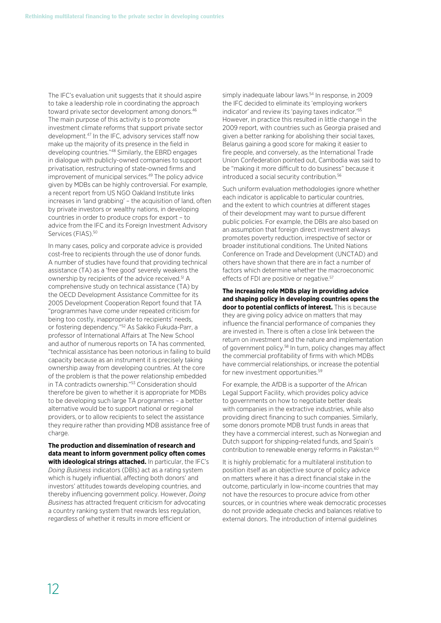The IFC's evaluation unit suggests that it should aspire to take a leadership role in coordinating the approach toward private sector development among donors.<sup>46</sup> The main purpose of this activity is to promote investment climate reforms that support private sector development.<sup>47</sup> In the IFC, advisory services staff now make up the majority of its presence in the field in developing countries."48 Similarly, the EBRD engages in dialogue with publicly-owned companies to support privatisation, restructuring of state-owned firms and improvement of municipal services.<sup>49</sup> The policy advice given by MDBs can be highly controversial. For example, a recent report from US NGO Oakland Institute links increases in 'land grabbing' – the acquisition of land, often by private investors or wealthy nations, in developing countries in order to produce crops for export – to advice from the IFC and its Foreign Investment Advisory Services (FIAS).<sup>50</sup>

In many cases, policy and corporate advice is provided cost-free to recipients through the use of donor funds. A number of studies have found that providing technical assistance (TA) as a 'free good' severely weakens the ownership by recipients of the advice received.<sup>51</sup> A comprehensive study on technical assistance (TA) by the OECD Development Assistance Committee for its 2005 Development Cooperation Report found that TA "programmes have come under repeated criticism for being too costly, inappropriate to recipients' needs, or fostering dependency."52 As Sakiko Fukuda-Parr, a professor of International Affairs at The New School and author of numerous reports on TA has commented, "technical assistance has been notorious in failing to build capacity because as an instrument it is precisely taking ownership away from developing countries. At the core of the problem is that the power relationship embedded in TA contradicts ownership."53 Consideration should therefore be given to whether it is appropriate for MDBs to be developing such large TA programmes – a better alternative would be to support national or regional providers, or to allow recipients to select the assistance they require rather than providing MDB assistance free of charge.

## **The production and dissemination of research and data meant to inform government policy often comes with ideological strings attached.** In particular, the IFC's

*Doing Business* indicators (DBIs) act as a rating system which is hugely influential, affecting both donors' and investors' attitudes towards developing countries, and thereby influencing government policy. However, *Doing Business* has attracted frequent criticism for advocating a country ranking system that rewards less regulation, regardless of whether it results in more efficient or

simply inadequate labour laws.<sup>54</sup> In response, in 2009 the IFC decided to eliminate its 'employing workers indicator' and review its 'paying taxes indicator.'55 However, in practice this resulted in little change in the 2009 report, with countries such as Georgia praised and given a better ranking for abolishing their social taxes, Belarus gaining a good score for making it easier to fire people, and conversely, as the International Trade Union Confederation pointed out, Cambodia was said to be "making it more difficult to do business" because it introduced a social security contribution.<sup>56</sup>

Such uniform evaluation methodologies ignore whether each indicator is applicable to particular countries, and the extent to which countries at different stages of their development may want to pursue different public policies. For example, the DBIs are also based on an assumption that foreign direct investment always promotes poverty reduction, irrespective of sector or broader institutional conditions. The United Nations Conference on Trade and Development (UNCTAD) and others have shown that there are in fact a number of factors which determine whether the macroeconomic effects of FDI are positive or negative.<sup>57</sup>

## **The increasing role MDBs play in providing advice and shaping policy in developing countries opens the door to potential conflicts of interest.** This is because they are giving policy advice on matters that may influence the financial performance of companies they are invested in. There is often a close link between the return on investment and the nature and implementation of government policy.58 In turn, policy changes may affect the commercial profitability of firms with which MDBs have commercial relationships, or increase the potential for new investment opportunities<sup>59</sup>

For example, the AfDB is a supporter of the African Legal Support Facility, which provides policy advice to governments on how to negotiate better deals with companies in the extractive industries, while also providing direct financing to such companies. Similarly, some donors promote MDB trust funds in areas that they have a commercial interest, such as Norwegian and Dutch support for shipping-related funds, and Spain's contribution to renewable energy reforms in Pakistan.<sup>60</sup>

It is highly problematic for a multilateral institution to position itself as an objective source of policy advice on matters where it has a direct financial stake in the outcome, particularly in low-income countries that may not have the resources to procure advice from other sources, or in countries where weak democratic processes do not provide adequate checks and balances relative to external donors. The introduction of internal guidelines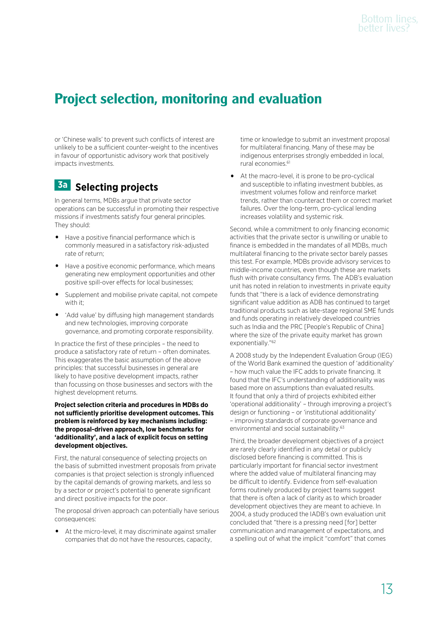# **Project selection, monitoring and evaluation**

or 'Chinese walls' to prevent such conflicts of interest are unlikely to be a sufficient counter-weight to the incentives in favour of opportunistic advisory work that positively impacts investments.

## **3a Selecting projects**

In general terms, MDBs argue that private sector operations can be successful in promoting their respective missions if investments satisfy four general principles. They should:

- Have a positive financial performance which is commonly measured in a satisfactory risk-adjusted rate of return;
- Have a positive economic performance, which means generating new employment opportunities and other positive spill-over effects for local businesses;
- Supplement and mobilise private capital, not compete with it:
- 'Add value' by diffusing high management standards and new technologies, improving corporate governance, and promoting corporate responsibility.

In practice the first of these principles – the need to produce a satisfactory rate of return – often dominates. This exaggerates the basic assumption of the above principles: that successful businesses in general are likely to have positive development impacts, rather than focussing on those businesses and sectors with the highest development returns.

**Project selection criteria and procedures in MDBs do not sufficiently prioritise development outcomes. This problem is reinforced by key mechanisms including: the proposal-driven approach, low benchmarks for 'additionality', and a lack of explicit focus on setting development objectives.** 

First, the natural consequence of selecting projects on the basis of submitted investment proposals from private companies is that project selection is strongly influenced by the capital demands of growing markets, and less so by a sector or project's potential to generate significant and direct positive impacts for the poor.

The proposal driven approach can potentially have serious consequences:

At the micro-level, it may discriminate against smaller companies that do not have the resources, capacity,

time or knowledge to submit an investment proposal for multilateral financing. Many of these may be indigenous enterprises strongly embedded in local, rural economies.<sup>61</sup>

At the macro-level, it is prone to be pro-cyclical and susceptible to inflating investment bubbles, as investment volumes follow and reinforce market trends, rather than counteract them or correct market failures. Over the long-term, pro-cyclical lending increases volatility and systemic risk.

Second, while a commitment to only financing economic activities that the private sector is unwilling or unable to finance is embedded in the mandates of all MDBs, much multilateral financing to the private sector barely passes this test. For example, MDBs provide advisory services to middle-income countries, even though these are markets flush with private consultancy firms. The ADB's evaluation unit has noted in relation to investments in private equity funds that "there is a lack of evidence demonstrating significant value addition as ADB has continued to target traditional products such as late-stage regional SME funds and funds operating in relatively developed countries such as India and the PRC [People's Republic of China] where the size of the private equity market has grown exponentially."<sup>62</sup>

A 2008 study by the Independent Evaluation Group (IEG) of the World Bank examined the question of 'additionality' – how much value the IFC adds to private financing. It found that the IFC's understanding of additionality was based more on assumptions than evaluated results. It found that only a third of projects exhibited either 'operational additionality' – through improving a project's design or functioning – or 'institutional additionality' – improving standards of corporate governance and environmental and social sustainability.<sup>63</sup>

Third, the broader development objectives of a project are rarely clearly identified in any detail or publicly disclosed before financing is committed. This is particularly important for financial sector investment where the added value of multilateral financing may be difficult to identify. Evidence from self-evaluation forms routinely produced by project teams suggest that there is often a lack of clarity as to which broader development objectives they are meant to achieve. In 2004, a study produced the IADB's own evaluation unit concluded that "there is a pressing need [for] better communication and management of expectations, and a spelling out of what the implicit "comfort" that comes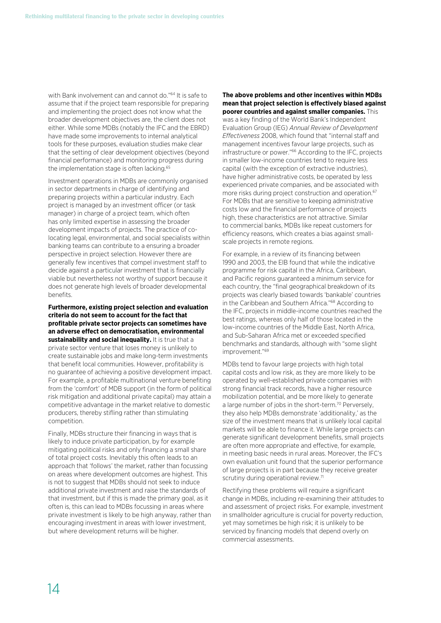with Bank involvement can and cannot do."64 It is safe to assume that if the project team responsible for preparing and implementing the project does not know what the broader development objectives are, the client does not either. While some MDBs (notably the IFC and the EBRD) have made some improvements to internal analytical tools for these purposes, evaluation studies make clear that the setting of clear development objectives (beyond financial performance) and monitoring progress during the implementation stage is often lacking.<sup>65</sup>

Investment operations in MDBs are commonly organised in sector departments in charge of identifying and preparing projects within a particular industry. Each project is managed by an investment officer (or task manager) in charge of a project team, which often has only limited expertise in assessing the broader development impacts of projects. The practice of colocating legal, environmental, and social specialists within banking teams can contribute to a ensuring a broader perspective in project selection. However there are generally few incentives that compel investment staff to decide against a particular investment that is financially viable but nevertheless not worthy of support because it does not generate high levels of broader developmental benefits.

**Furthermore, existing project selection and evaluation criteria do not seem to account for the fact that profitable private sector projects can sometimes have an adverse effect on democratisation, environmental sustainability and social inequality.** It is true that a private sector venture that loses money is unlikely to create sustainable jobs and make long-term investments that benefit local communities. However, profitability is no guarantee of achieving a positive development impact. For example, a profitable multinational venture benefiting from the 'comfort' of MDB support (in the form of political risk mitigation and additional private capital) may attain a

competitive advantage in the market relative to domestic producers, thereby stifling rather than stimulating competition. Finally, MDBs structure their financing in ways that is

likely to induce private participation, by for example mitigating political risks and only financing a small share of total project costs. Inevitably this often leads to an approach that 'follows' the market, rather than focussing on areas where development outcomes are highest. This is not to suggest that MDBs should not seek to induce additional private investment and raise the standards of that investment, but if this is made the primary goal, as it often is, this can lead to MDBs focussing in areas where private investment is likely to be high anyway, rather than encouraging investment in areas with lower investment, but where development returns will be higher.

#### **The above problems and other incentives within MDBs mean that project selection is effectively biased against poorer countries and against smaller companies.** This

was a key finding of the World Bank's Independent Evaluation Group (IEG) *Annual Review of Development Effectiveness* 2008, which found that "internal staff and management incentives favour large projects, such as infrastructure or power."66 According to the IFC, projects in smaller low-income countries tend to require less capital (with the exception of extractive industries), have higher administrative costs, be operated by less experienced private companies, and be associated with more risks during project construction and operation.<sup>67</sup> For MDBs that are sensitive to keeping administrative costs low and the financial performance of projects high, these characteristics are not attractive. Similar to commercial banks, MDBs like repeat customers for efficiency reasons, which creates a bias against smallscale projects in remote regions.

For example, in a review of its financing between 1990 and 2003, the EIB found that while the indicative programme for risk capital in the Africa, Caribbean, and Pacific regions guaranteed a minimum service for each country, the "final geographical breakdown of its projects was clearly biased towards 'bankable' countries in the Caribbean and Southern Africa."68 According to the IFC, projects in middle-income countries reached the best ratings, whereas only half of those located in the low-income countries of the Middle East, North Africa, and Sub-Saharan Africa met or exceeded specified benchmarks and standards, although with "some slight improvement."69

MDBs tend to favour large projects with high total capital costs and low risk, as they are more likely to be operated by well-established private companies with strong financial track records, have a higher resource mobilization potential, and be more likely to generate a large number of jobs in the short-term.<sup>70</sup> Perversely, they also help MDBs demonstrate 'additionality,' as the size of the investment means that is unlikely local capital markets will be able to finance it. While large projects can generate significant development benefits, small projects are often more appropriate and effective, for example, in meeting basic needs in rural areas. Moreover, the IFC's own evaluation unit found that the superior performance of large projects is in part because they receive greater scrutiny during operational review.<sup>71</sup>

Rectifying these problems will require a significant change in MDBs, including re-examining their attitudes to and assessment of project risks. For example, investment in smallholder agriculture is crucial for poverty reduction, yet may sometimes be high risk; it is unlikely to be serviced by financing models that depend overly on commercial assessments.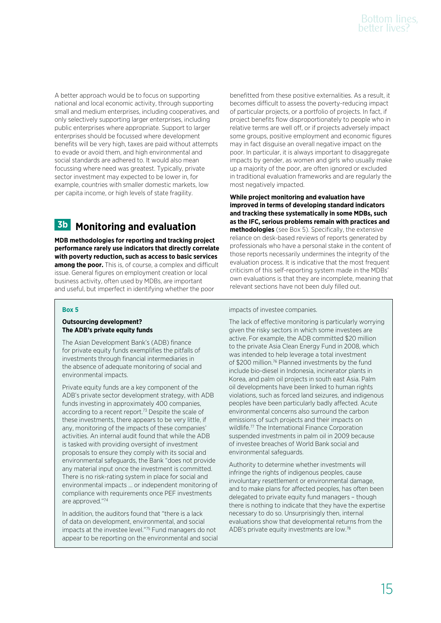A better approach would be to focus on supporting national and local economic activity, through supporting small and medium enterprises, including cooperatives, and only selectively supporting larger enterprises, including public enterprises where appropriate. Support to larger enterprises should be focussed where development benefits will be very high, taxes are paid without attempts to evade or avoid them, and high environmental and social standards are adhered to. It would also mean focussing where need was greatest. Typically, private sector investment may expected to be lower in, for example, countries with smaller domestic markets, low per capita income, or high levels of state fragility.

# **3b Monitoring and evaluation**

**MDB methodologies for reporting and tracking project performance rarely use indicators that directly correlate with poverty reduction, such as access to basic services among the poor.** This is, of course, a complex and difficult issue. General figures on employment creation or local business activity, often used by MDBs, are important and useful, but imperfect in identifying whether the poor

## **Box 5**

## **Outsourcing development? The ADB's private equity funds**

The Asian Development Bank's (ADB) finance for private equity funds exemplifies the pitfalls of investments through financial intermediaries in the absence of adequate monitoring of social and environmental impacts.

Private equity funds are a key component of the ADB's private sector development strategy, with ADB funds investing in approximately 400 companies, according to a recent report.<sup>73</sup> Despite the scale of these investments, there appears to be very little, if any, monitoring of the impacts of these companies' activities. An internal audit found that while the ADB is tasked with providing oversight of investment proposals to ensure they comply with its social and environmental safeguards, the Bank "does not provide any material input once the investment is committed. There is no risk-rating system in place for social and environmental impacts … or independent monitoring of compliance with requirements once PEF investments are approved."74

In addition, the auditors found that "there is a lack of data on development, environmental, and social impacts at the investee level."75 Fund managers do not appear to be reporting on the environmental and social benefitted from these positive externalities. As a result, it becomes difficult to assess the poverty-reducing impact of particular projects, or a portfolio of projects. In fact, if project benefits flow disproportionately to people who in relative terms are well off, or if projects adversely impact some groups, positive employment and economic figures may in fact disguise an overall negative impact on the poor. In particular, it is always important to disaggregate impacts by gender, as women and girls who usually make up a majority of the poor, are often ignored or excluded in traditional evaluation frameworks and are regularly the most negatively impacted.

**While project monitoring and evaluation have improved in terms of developing standard indicators and tracking these systematically in some MDBs, such as the IFC, serious problems remain with practices and methodologies** (see Box 5). Specifically, the extensive reliance on desk-based reviews of reports generated by professionals who have a personal stake in the content of those reports necessarily undermines the integrity of the evaluation process. It is indicative that the most frequent criticism of this self-reporting system made in the MDBs' own evaluations is that they are incomplete, meaning that relevant sections have not been duly filled out.

impacts of investee companies.

The lack of effective monitoring is particularly worrying given the risky sectors in which some investees are active. For example, the ADB committed \$20 million to the private Asia Clean Energy Fund in 2008, which was intended to help leverage a total investment of \$200 million.<sup>76</sup> Planned investments by the fund include bio-diesel in Indonesia, incinerator plants in Korea, and palm oil projects in south east Asia. Palm oil developments have been linked to human rights violations, such as forced land seizures, and indigenous peoples have been particularly badly affected. Acute environmental concerns also surround the carbon emissions of such projects and their impacts on wildlife.77 The International Finance Corporation suspended investments in palm oil in 2009 because of investee breaches of World Bank social and environmental safeguards.

Authority to determine whether investments will infringe the rights of indigenous peoples, cause involuntary resettlement or environmental damage, and to make plans for affected peoples, has often been delegated to private equity fund managers – though there is nothing to indicate that they have the expertise necessary to do so. Unsurprisingly then, internal evaluations show that developmental returns from the ADB's private equity investments are low.78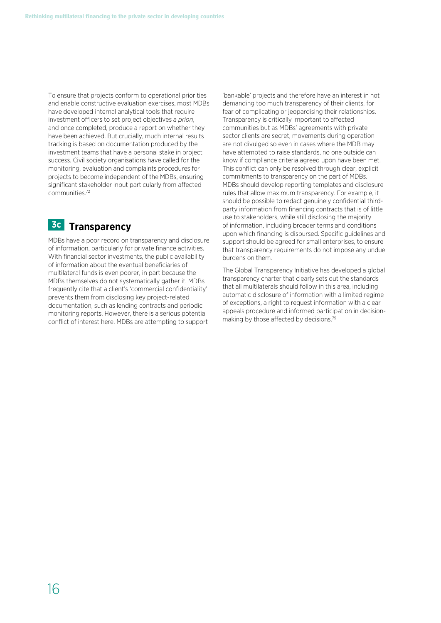To ensure that projects conform to operational priorities and enable constructive evaluation exercises, most MDBs have developed internal analytical tools that require investment officers to set project objectives *a priori*, and once completed, produce a report on whether they have been achieved. But crucially, much internal results tracking is based on documentation produced by the investment teams that have a personal stake in project success. Civil society organisations have called for the monitoring, evaluation and complaints procedures for projects to become independent of the MDBs, ensuring significant stakeholder input particularly from affected communities.72

# **3c Transparency**

MDBs have a poor record on transparency and disclosure of information, particularly for private finance activities. With financial sector investments, the public availability of information about the eventual beneficiaries of multilateral funds is even poorer, in part because the MDBs themselves do not systematically gather it. MDBs frequently cite that a client's 'commercial confidentiality' prevents them from disclosing key project-related documentation, such as lending contracts and periodic monitoring reports. However, there is a serious potential conflict of interest here. MDBs are attempting to support

'bankable' projects and therefore have an interest in not demanding too much transparency of their clients, for fear of complicating or jeopardising their relationships. Transparency is critically important to affected communities but as MDBs' agreements with private sector clients are secret, movements during operation are not divulged so even in cases where the MDB may have attempted to raise standards, no one outside can know if compliance criteria agreed upon have been met. This conflict can only be resolved through clear, explicit commitments to transparency on the part of MDBs. MDBs should develop reporting templates and disclosure rules that allow maximum transparency. For example, it should be possible to redact genuinely confidential thirdparty information from financing contracts that is of little use to stakeholders, while still disclosing the majority of information, including broader terms and conditions upon which financing is disbursed. Specific guidelines and support should be agreed for small enterprises, to ensure that transparency requirements do not impose any undue burdens on them.

The Global Transparency Initiative has developed a global transparency charter that clearly sets out the standards that all multilaterals should follow in this area, including automatic disclosure of information with a limited regime of exceptions, a right to request information with a clear appeals procedure and informed participation in decisionmaking by those affected by decisions.79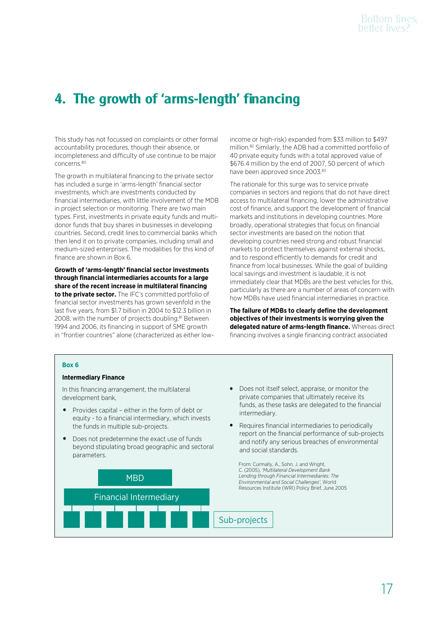# **4. The growth of 'arms-length' financing**

This study has not focussed on complaints or other formal accountability procedures, though their absence, or incompleteness and difficulty of use continue to be major concerns.80

The growth in multilateral financing to the private sector has included a surge in 'arms-length' financial sector investments, which are investments conducted by financial intermediaries, with little involvement of the MDB in project selection or monitoring. There are two main types. First, investments in private equity funds and multidonor funds that buy shares in businesses in developing countries. Second, credit lines to commercial banks which then lend it on to private companies, including small and medium-sized enterprises. The modalities for this kind of finance are shown in Box 6.

**Growth of 'arms-length' financial sector investments through financial intermediaries accounts for a large share of the recent increase in multilateral financing to the private sector.** The IFC's committed portfolio of financial sector investments has grown sevenfold in the last five years, from \$1.7 billion in 2004 to \$12.3 billion in 2008, with the number of projects doubling.<sup>81</sup> Between 1994 and 2006, its financing in support of SME growth in "frontier countries" alone (characterized as either lowincome or high-risk) expanded from \$33 million to \$497 million.82 Similarly, the ADB had a committed portfolio of 40 private equity funds with a total approved value of \$676.4 million by the end of 2007, 50 percent of which have been approved since 2003.<sup>83</sup>

The rationale for this surge was to service private companies in sectors and regions that do not have direct access to multilateral financing, lower the administrative cost of finance, and support the development of financial markets and institutions in developing countries. More broadly, operational strategies that focus on financial sector investments are based on the notion that developing countries need strong and robust financial markets to protect themselves against external shocks, and to respond efficiently to demands for credit and finance from local businesses. While the goal of building local savings and investment is laudable, it is not immediately clear that MDBs are the best vehicles for this, particularly as there are a number of areas of concern with how MDBs have used financial intermediaries in practice.

**The failure of MDBs to clearly define the development objectives of their investments is worrying given the delegated nature of arms-length finance.** Whereas direct financing involves a single financing contract associated

• Does not itself select, appraise, or monitor the private companies that ultimately receive its funds, as these tasks are delegated to the financial

• Requires financial intermediaries to periodically report on the financial performance of sub-projects and notify any serious breaches of environmental

intermediary.

and social standards.

#### **Box 6**

#### **Intermediary Finance**

In this financing arrangement, the multilateral development bank,

- Provides capital either in the form of debt or equity - to a financial intermediary, which invests the funds in multiple sub-projects.
- Does not predetermine the exact use of funds beyond stipulating broad geographic and sectoral parameters.

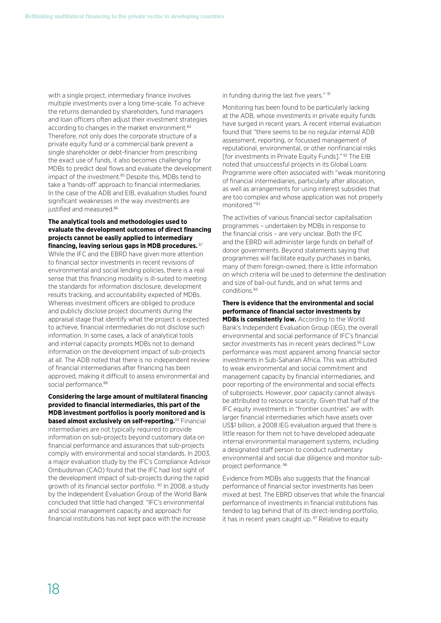with a single project, intermediary finance involves multiple investments over a long time-scale. To achieve the returns demanded by shareholders, fund managers and loan officers often adjust their investment strategies according to changes in the market environment.<sup>84</sup> Therefore, not only does the corporate structure of a private equity fund or a commercial bank prevent a single shareholder or debt-financier from prescribing the exact use of funds, it also becomes challenging for MDBs to predict deal flows and evaluate the development impact of the investment.<sup>85</sup> Despite this, MDBs tend to take a 'hands-off' approach to financial intermediaries. In the case of the ADB and EIB, evaluation studies found significant weaknesses in the way investments are justified and measured.<sup>86</sup>

## **The analytical tools and methodologies used to evaluate the development outcomes of direct financing projects cannot be easily applied to intermediary financing, leaving serious gaps in MDB procedures.**<sup>87</sup>

While the IFC and the EBRD have given more attention to financial sector investments in recent revisions of environmental and social lending policies, there is a real sense that this financing modality is ill-suited to meeting the standards for information disclosure, development results tracking, and accountability expected of MDBs. Whereas investment officers are obliged to produce and publicly disclose project documents during the appraisal stage that identify what the project is expected to achieve, financial intermediaries do not disclose such information. In some cases, a lack of analytical tools and internal capacity prompts MDBs not to demand information on the development impact of sub-projects at all. The ADB noted that there is no independent review of financial intermediaries after financing has been approved, making it difficult to assess environmental and social performance.<sup>88</sup>

## **Considering the large amount of multilateral financing provided to financial intermediaries, this part of the MDB investment portfolios is poorly monitored and is based almost exclusively on self-reporting.**89 Financial intermediaries are not typically required to provide information on sub-projects beyond customary data on financial performance and assurances that sub-projects comply with environmental and social standards. In 2003, a major evaluation study by the IFC's Compliance Advisor Ombudsman (CAO) found that the IFC had lost sight of the development impact of sub-projects during the rapid growth of its financial sector portfolio. 90 In 2008, a study by the Independent Evaluation Group of the World Bank concluded that little had changed: "IFC's environmental and social management capacity and approach for financial institutions has not kept pace with the increase

in funding during the last five years." <sup>91</sup>

Monitoring has been found to be particularly lacking at the ADB, whose investments in private equity funds have surged in recent years. A recent internal evaluation found that "there seems to be no regular internal ADB assessment, reporting, or focussed management of reputational, environmental, or other nonfinancial risks [for investments in Private Equity Funds]." 92 The EIB noted that unsuccessful projects in its Global Loans Programme were often associated with "weak monitoring of financial intermediaries, particularly after allocation, as well as arrangements for using interest subsidies that are too complex and whose application was not properly monitored."93

The activities of various financial sector capitalisation programmes – undertaken by MDBs in response to the financial crisis – are very unclear. Both the IFC and the EBRD will administer large funds on behalf of donor governments. Beyond statements saying that programmes will facilitate equity purchases in banks, many of them foreign-owned, there is little information on which criteria will be used to determine the destination and size of bail-out funds, and on what terms and conditions.94

## **There is evidence that the environmental and social performance of financial sector investments by**

**MDBs is consistently low.** According to the World Bank's Independent Evaluation Group (IEG), the overall environmental and social performance of IFC's financial sector investments has in recent years declined.<sup>95</sup> Low performance was most apparent among financial sector investments in Sub-Saharan Africa. This was attributed to weak environmental and social commitment and management capacity by financial intermediaries, and poor reporting of the environmental and social effects of subprojects. However, poor capacity cannot always be attributed to resource scarcity. Given that half of the IFC equity investments in "frontier countries" are with larger financial intermediaries which have assets over US\$1 billion, a 2008 IEG evaluation argued that there is little reason for them not to have developed adequate internal environmental management systems, including a designated staff person to conduct rudimentary environmental and social due diligence and monitor subproject performance. 96

Evidence from MDBs also suggests that the financial performance of financial sector investments has been mixed at best. The EBRD observes that while the financial performance of investments in financial institutions has tended to lag behind that of its direct-lending portfolio, it has in recent years caught up. 97 Relative to equity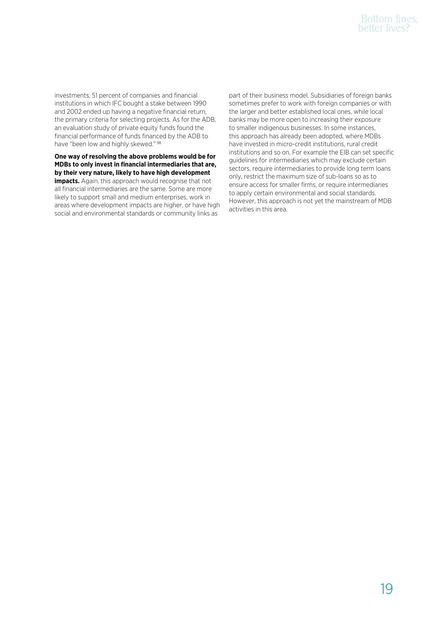investments, 51 percent of companies and financial institutions in which IFC bought a stake between 1990 and 2002 ended up having a negative financial return, the primary criteria for selecting projects. As for the ADB, an evaluation study of private equity funds found the financial performance of funds financed by the ADB to have "been low and highly skewed." <sup>98</sup>

**One way of resolving the above problems would be for MDBs to only invest in financial intermediaries that are, by their very nature, likely to have high development impacts.** Again, this approach would recognise that not all financial intermediaries are the same. Some are more likely to support small and medium enterprises, work in areas where development impacts are higher, or have high social and environmental standards or community links as

part of their business model. Subsidiaries of foreign banks sometimes prefer to work with foreign companies or with the larger and better established local ones, while local banks may be more open to increasing their exposure to smaller indigenous businesses. In some instances, this approach has already been adopted, where MDBs have invested in micro-credit institutions, rural credit institutions and so on. For example the EIB can set specific guidelines for intermediaries which may exclude certain sectors, require intermediaries to provide long term loans only, restrict the maximum size of sub-loans so as to ensure access for smaller firms, or require intermediaries to apply certain environmental and social standards. However, this approach is not yet the mainstream of MDB activities in this area.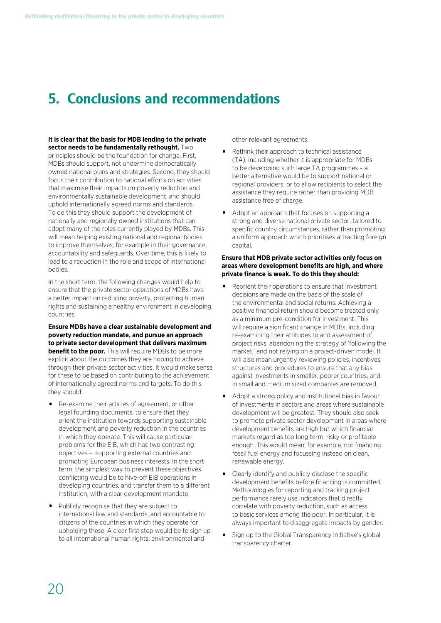# **5. Conclusions and recommendations**

**It is clear that the basis for MDB lending to the private sector needs to be fundamentally rethought.** Two principles should be the foundation for change. First, MDBs should support, not undermine democratically owned national plans and strategies. Second, they should focus their contribution to national efforts on activities that maximise their impacts on poverty reduction and environmentally sustainable development, and should uphold internationally agreed norms and standards. To do this they should support the development of nationally and regionally owned institutions that can adopt many of the roles currently played by MDBs. This will mean helping existing national and regional bodies to improve themselves, for example in their governance, accountability and safeguards. Over time, this is likely to lead to a reduction in the role and scope of international bodies.

In the short term, the following changes would help to ensure that the private sector operations of MDBs have a better impact on reducing poverty, protecting human rights and sustaining a healthy environment in developing countries.

**Ensure MDBs have a clear sustainable development and poverty reduction mandate, and pursue an approach to private sector development that delivers maximum benefit to the poor.** This will require MDBs to be more explicit about the outcomes they are hoping to achieve through their private sector activities. It would make sense for these to be based on contributing to the achievement of internationally agreed norms and targets. To do this they should:

- Re-examine their articles of agreement, or other legal founding documents, to ensure that they orient the institution towards supporting sustainable development and poverty reduction in the countries in which they operate. This will cause particular problems for the EIB, which has two contrasting objectives – supporting external countries and promoting European business interests. In the short term, the simplest way to prevent these objectives conflicting would be to hive-off EIB operations in developing countries, and transfer them to a different institution, with a clear development mandate.
- Publicly recognise that they are subject to international law and standards, and accountable to citizens of the countries in which they operate for upholding these. A clear first step would be to sign up to all international human rights, environmental and

other relevant agreements.

- Rethink their approach to technical assistance (TA), including whether it is appropriate for MDBs to be developing such large TA programmes – a better alternative would be to support national or regional providers, or to allow recipients to select the assistance they require rather than providing MDB assistance free of charge.
- Adopt an approach that focuses on supporting a strong and diverse national private sector, tailored to specific country circumstances, rather than promoting a uniform approach which prioritises attracting foreign capital.

## **Ensure that MDB private sector activities only focus on areas where development benefits are high, and where private finance is weak. To do this they should:**

- Reorient their operations to ensure that investment decisions are made on the basis of the scale of the environmental and social returns. Achieving a positive financial return should become treated only as a minimum pre-condition for investment. This will require a significant change in MDBs, including re-examining their attitudes to and assessment of project risks, abandoning the strategy of 'following the market,' and not relying on a project-driven model. It will also mean urgently reviewing policies, incentives, structures and procedures to ensure that any bias against investments in smaller, poorer countries, and in small and medium sized companies are removed.
- Adopt a strong policy and institutional bias in favour of investments in sectors and areas where sustainable development will be greatest. They should also seek to promote private sector development in areas where development benefits are high but which financial markets regard as too long term, risky or profitable enough. This would mean, for example, not financing fossil fuel energy and focussing instead on clean, renewable energy.
- Clearly identify and publicly disclose the specific development benefits before financing is committed. Methodologies for reporting and tracking project performance rarely use indicators that directly correlate with poverty reduction, such as access to basic services among the poor. In particular, it is always important to disaggregate impacts by gender.
- Sign up to the Global Transparency Initiative's global transparency charter.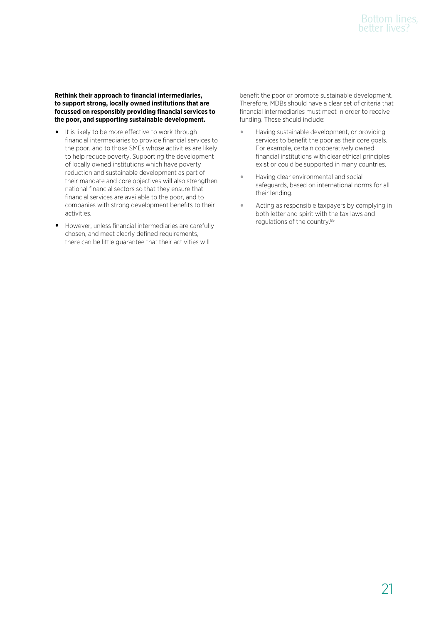**Rethink their approach to financial intermediaries, to support strong, locally owned institutions that are focussed on responsibly providing financial services to the poor, and supporting sustainable development.**

- It is likely to be more effective to work through financial intermediaries to provide financial services to the poor, and to those SMEs whose activities are likely to help reduce poverty. Supporting the development of locally owned institutions which have poverty reduction and sustainable development as part of their mandate and core objectives will also strengthen national financial sectors so that they ensure that financial services are available to the poor, and to companies with strong development benefits to their activities.
- However, unless financial intermediaries are carefully chosen, and meet clearly defined requirements, there can be little guarantee that their activities will

benefit the poor or promote sustainable development. Therefore, MDBs should have a clear set of criteria that financial intermediaries must meet in order to receive funding. These should include:

- Having sustainable development, or providing services to benefit the poor as their core goals. For example, certain cooperatively owned financial institutions with clear ethical principles exist or could be supported in many countries.
- Having clear environmental and social safeguards, based on international norms for all their lending.
- Acting as responsible taxpayers by complying in both letter and spirit with the tax laws and regulations of the country.99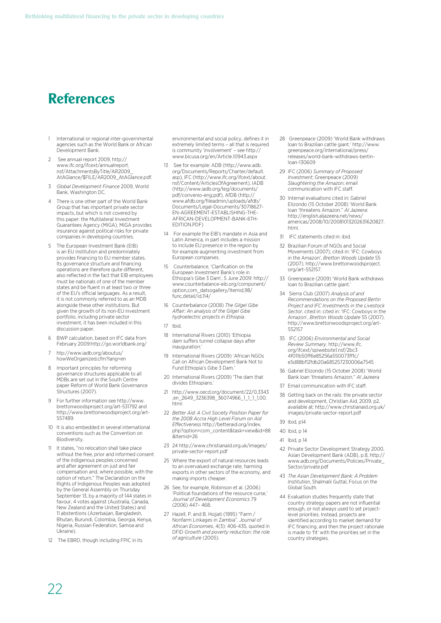## **References**

- 1 International or regional inter-governmental agencies such as the World Bank or African Development Bank.
- 2 See annual report 2009, http:// www.ifc.org/ifcext/annualreport. nsf/AttachmentsByTitle/AR2009\_ AtAGlance/\$FILE/AR2009\_AtAGlance.pdf.
- 3 *Global Development Finance* 2009, World Bank, Washington DC.
- 4 There is one other part of the World Bank Group that has important private sector impacts, but which is not covered by this paper: the Multilateral Investment Guarantees Agency (MIGA). MIGA provides insurance against political risks for private companies in developing countries.
- 5 The European Investment Bank (EIB) is an EU institution and predominately provides financing to EU member states. Its governance structure and financing operations are therefore quite different, also reflected in the fact that EIB employees must be nationals of one of the member states and be fluent in at least two or three of the EU's official languages. As a result it is not commonly referred to as an MDB alongside these other institutions. But given the growth of its non-EU investment portfolio, including private sector investment, it has been included in this discussion paper.
- 6 BWP calculation, based on IFC data from February 2009:http://go.worldbank.org/
- 7 htp://www.iadb.org/aboutus/ howWeOrganized.cfm?lang=en
- 8 Important principles for reforming governance structures applicable to all MDBs are set out in the South Centre paper Reform of World Bank Governance Structures (2007).
- 9 For further information see http://www. brettonwoodsproject.org/art-531792 and http://www.brettonwoodsproject.org/art-557489.
- 10 It is also embedded in several international conventions such as the Convention on Biodiversity.
- 11 It states, "no relocation shall take place without the free, prior and informed consent of the indigenous peoples concerned and after agreement on just and fair compensation and, where possible, with the option of return." The Declaration on the Rights of Indigenous Peoples was adopted by the General Assembly on Thursday September 13, by a majority of 144 states in favour, 4 votes against (Australia, Canada, New Zealand and the United States) and 11 abstentions (Azerbaijan, Bangladesh, Bhutan, Burundi, Colombia, Georgia, Kenya, Nigeria, Russian Federation, Samoa and Ukraine).
- 12 The EBRD, though including FPIC in its

environmental and social policy, defines it in extremely limited terms - all that is required is community 'involvement' – see http:// www.bicusa.org/en/Article.10943.aspx

- See for example: ADB (http://www.adb. org/Documents/Reports/Charter/default. asp), IFC (http://www.ifc.org/ifcext/about. nsf/Content/ArticlesOfAgreement), IADB (http://www.iadb.org/leg/documents/ pdf/convenio-eng.pdf), AfDB (http:// www.afdb.org/fileadmin/uploads/afdb/ Documents/Legal-Documents/30718627- EN-AGREEMENT-ESTABLISHING-THE-AFRICAN-DEVELOPMENT-BANK-6TH-EDITION.PDF)
- 14 For example the EIB's mandate in Asia and Latin America, in part includes a mission to include EU presence in the region by for example augmenting investment from European companies.
- 15 Counterbalance, 'Clarification on the European Investment Bank's role in Ethiopia's Gibe 3 Dam', 5 June 2009: http:// www.counterbalance-eib.org/component/ option,com\_datsogallery/Itemid,98/ func,detail/id,114/
- 16 Counterbalance (2008) *The Gilgel Gibe Affair: An analysis of the Gilgel Gibe hydroelectric projects in Ethiopia.*
- 17 Ibid.
- 18 International Rivers (2010) 'Ethiopia dam suffers tunnel collapse days after inauguration.'
- 19 International Rivers (2009) 'African NGOs Call on African Development Bank Not to Fund Ethiopia's Gibe 3 Dam.'
- 20 International Rivers (2009) 'The dam that divides Ethiopians.'
- 21 http://www.oecd.org/document/22/0,3343 ,en\_2649\_3236398\_36074966\_1\_1\_1\_1,00. html
- 22 *Better Aid: A Civil Society Position Paper for the 2008 Accra High Level Forum on Aid Effectiveness* http://betteraid.org/index. php?option=com\_content&task=view&id=88 &Itemid=26
- 23 24 http://www.christianaid.org.uk/images/ private-sector-report.pdf
- Where the export of natural resources leads to an overvalued exchange rate, harming exports in other sectors of the economy, and making imports cheaper.
- 26 See, for example, Robinson et al. (2006) 'Political foundations of the resource curse,' *Journal of Development Economics* 79 (2006) 447– 468.
- 27 Hazell, P. and B. Hojjati (1995) "Farm / Nonfarm Linkages in Zambia". *Journal of African Economies*, 4(3): 406-435, quoted in DFID *Growth and poverty reduction: the role of agriculture* (2005).
- 28 Greenpeace (2009) 'World Bank withdraws loan to Brazilian cattle giant.' http://www. greenpeace.org/international/press/ releases/world-bank-withdraws-bertinloan-130609
- 29 IFC (2006) *Summary of Proposed Investment*; Greenpeace (2009) *Slaughtering the Amazon*; email communication with IFC staff.
- 30 Internal evaluations cited in: Gabriel Elizondo (15 October 2008) 'World Bank loan 'threatens Amazon.'' *Al Jazeera*: http://english.aljazeera.net/news/ americas/2008/10/20081013202631620827. html.
- 31 IFC statements cited in: ibid.
- 32 Brazilian Forum of NGOs and Social Movements (2007), cited in: 'IFC: Cowboys in the Amazon', *Bretton Woods Update* 55 (2007). http://www.brettonwoodsproject. org/art-552157.
- 33 Greenpeace (2009) 'World Bank withdraws loan to Brazilian cattle giant.
- 34 Sierra Club (2007) *Analysis of and Recommendations on the Proposed Bertin Project and IFC Investments in the Livestock Sector*, cited in: cited in: 'IFC: Cowboys in the Amazon', *Bretton Woods Update* 55 (2007). http://www.brettonwoodsproject.org/art-552157
- 35 IFC (2006) *Environmental and Social Review Summary*. http://www.ifc. org/ifcext/spiwebsite1.nsf/2bc3 4f011b50ff6e85256a550073ff1c/ e5d88bf12fdb20a685257230006a7545
- 36 Gabriel Elizondo (15 October 2008) 'World Bank loan 'threatens Amazon.'' *Al Jazeera*
- Email communication with IFC staff
- 38 Getting back on the rails: the private sector and development, Christian Aid, 2009, p2, available at: http://www.christianaid.org.uk/ images/private-sector-report.pdf
- 39 Ibid, p14
- 40 Ibid, p 14
- 41 Ibid, p 14
- 42 Private Sector Development Strategy 2000, Asian Development Bank (ADB), p.8, http:// www.adb.org/Documents/Policies/Private\_ Sector/private.pdf
- 43 *The Asian Development Bank: A Problem Institution*, Shalmalii Guttal, Focus on the Global South.
- 44 Evaluation studies frequently state that country strategy papers are not influential enough, or not always used to set projectlevel priorities. Instead, projects are identified according to market demand for IFC financing, and then the project rationale is made to 'fit' with the priorities set in the country strategies.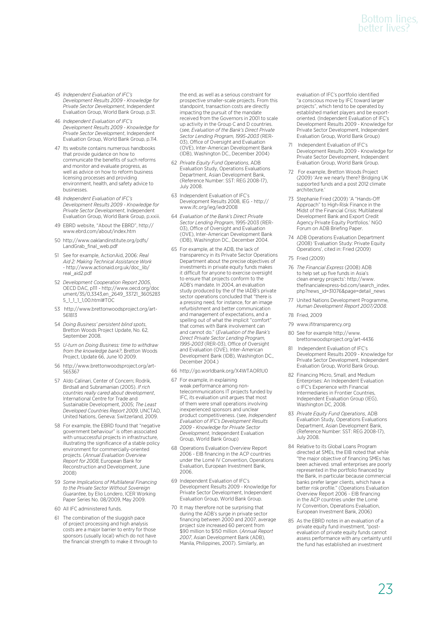## Bottom lines, better lives?

- 45 *Independent Evaluation of IFC's Development Results 2009 - Knowledge for Private Sector Development*, Independent Evaluation Group, World Bank Group, p.31.
- 46 *Independent Evaluation of IFC's Development Results 2009 - Knowledge for Private Sector Development*, Independent Evaluation Group, World Bank Group, p.114.
- 47 Its website contains numerous handbooks that provide guidance on how to communicate the benefits of such reforms and monitor and evaluate progress, as well as advice on how to reform business licensing processes and providing environment, health, and safety advice to businesses.
- 48 *Independent Evaluation of IFC's Development Results 2009 - Knowledge for Private Sector Development*, Independent Evaluation Group, World Bank Group, p.xxiii.
- 49 EBRD website, "About the EBRD", http:// www.ebrd.com/about/index.htm
- 50 http://www.oaklandinstitute.org/pdfs/ LandGrab\_final\_web.pdf
- 51 See for example, ActionAid, 2006: *Real Aid 2: Making Technical Assistance Work* - http://www.actionaid.org.uk/doc\_lib/ real\_aid2.pdf
- 52 *Development Cooperation Report 2005*, OECD DAC, p111 - http://www.oecd.org/doc ument/35/0,3343,en\_2649\_33721\_3605283 5\_1\_1\_1\_1,00.html#TOC
- 53 http://www.brettonwoodsproject.org/art-561813
- 54 *Doing Business' persistent blind spots*, Bretton Woods Project Update, No. 62, September 2008.
- 55 *U-turn on Doing Business: time to withdraw from the knowledge bank?*, Bretton Woods Project, Update 66, June 10 2009.
- 56 http://www.brettonwoodsproject.org/art-565367
- 57 Aldo Calinari, Center of Concern; Rodrik, Birdsall and Subramanian (2005). *If rich countries really cared about development*, International Centre for Trade and Sustainable Development, 2005; *The Least Developed Countries Report 2009*, UNCTAD, United Nations, Geneva: Switzerland, 2009.
- 58 For example, the EBRD found that "negative government behaviour" is often associated with unsuccessful projects in infrastructure, illustrating the significance of a stable policy environment for commercially-oriented projects. (*Annual Evaluation Overview Report for 2008*, European Bank for Reconstruction and Development, June 2008)
- 59 *Some Implications of Multilateral Financing to the Private Sector Without Sovereign Guarantee*, by Elio Londero, ICER Working Paper Series No. 08/2009, May 2009.
- 60 All IFC administered funds.
- 61 The combination of the sluggish pace of project processing and high analysis costs are a major barrier to entry for those sponsors (usually local) which do not have the financial strength to make it through to

the end, as well as a serious constraint for prospective smaller-scale projects. From this standpoint, transaction costs are directly impacting the pursuit of the mandate received from the Governors in 2001 to scale up activity in the Group C and D countries. (*see, Evaluation of the Bank's Direct Private Sector Lending Program, 1995-2003* (RER-03), Office of Oversight and Evaluation (OVE), Inter-American Development Bank (IDB), Washington DC., December 2004)

- 62 *Private Equity Fund Operations*, ADB Evaluation Study, Operations Evaluations Department, Asian Development Bank, (Reference Number: SST: REG 2008-17), July 2008.
- 63 Independent Evaluation of IFC's Development Results 2008, IEG - http:// www.ifc.org/ieg/iedr2008
- 64 *Evaluation of the Bank's Direct Private Sector Lending Program*, 1995-2003 (RER-03), Office of Oversight and Evaluation (OVE), Inter-American Development Bank (IDB), Washington DC., December 2004.
- 65 For example, at the ADB, the lack of transparency in its Private Sector Operations Department about the precise objectives of investments in private equity funds makes it difficult for anyone to exercise oversight to ensure that projects conform to the ADB's mandate. In 2004, an evaluation study produced by the of the IADB's private sector operations concluded that "there is a pressing need, for instance, for an image refurbishment and better communication and management of expectations, and a spelling out of what the implicit "comfort" that comes with Bank involvement can and cannot do." (*Evaluation of the Bank's Direct Private Sector Lending Program, 1995-2003* (RER-03), Office of Oversight and Evaluation (OVE), Inter-American Development Bank (IDB), Washington DC., December 2004.)
- 66 http://go.worldbank.org/X4WTAOR1U0
- 67 For example, in explaining weak performance among nontelecommunications IT projects funded by IFC, its evaluation unit argues that most of them were small operations involving inexperienced sponsors and unclear product competitiveness. (see, *Independent Evaluation of IFC's Development Results 2009 - Knowledge for Private Sector Development*, Independent Evaluation Group, World Bank Group)
- 68 Operations Evaluation Overview Report 2006 - EIB financing in the ACP countries under the Lomé IV Convention, Operations Evaluation, European Investment Bank, 2006.
- 69 Independent Evaluation of IFC's Development Results 2009 - Knowledge for Private Sector Development, Independent Evaluation Group, World Bank Group.
- 70 It may therefore not be surprising that during the ADB's surge in private sector financing between 2000 and 2007, average project size increased 60 percent from \$90 million to \$150 million. (*Annual Report 2007*, Asian Development Bank (ADB), Manila, Philippines, 2007). Similarly, an

evaluation of IFC's portfolio identified "a conscious move by IFC toward larger projects", which tend to be operated by established market players and be exportoriented. (Independent Evaluation of IFC's Development Results 2009 - Knowledge for Private Sector Development, Independent Evaluation Group, World Bank Group)

- Independent Evaluation of IFC's Development Results 2009 - Knowledge for Private Sector Development, Independent Evaluation Group, World Bank Group.
- 72 For example, Bretton Woods Project (2009) 'Are we nearly there? Bridging UK supported funds and a post 2012 climate architecture.'
- 73 Stephanie Fried (2009) 'A "Hands-Off Approach" to High-Risk Finance in the Midst of the Financial Crisis: Multilateral Development Bank and Export Credit Agency Private Equity Portfolios.' NGO Forum on ADB Briefing Paper.
- 74 ADB Operations Evaluation Department (2008) 'Evaluation Study: Private Equity Operations', cited in: Fried (2009)
- 75 Fried (2009)
- 76 *The Financial Express* (2008) ADB to help set up five funds in Asia's clean energy projects': http://www. thefinancialexpress-bd.com/search\_index. php?news\_id=31076&page=detail\_news
- 77 United Nations Development Programme, *Human Development Report 2007/2008*.
- 78 Fried, 2009
- 79 www.ifitransparency.org
- 80 See for example http://www. brettonwoodsproject.org/art-4436
- 81 Independent Evaluation of IFC's Development Results 2009 - Knowledge for Private Sector Development, Independent Evaluation Group, World Bank Group.
- 82 Financing Micro, Small, and Medium Enterprises: An Independent Evaluation o IFC's Experience with Financial Intermediaries in Frontier Countries, Independent Evaluation Group (IEG), Washington DC, 2008.
- 83 *Private Equity Fund Operations*, ADB Evaluation Study, Operations Evaluations Department, Asian Development Bank, (Reference Number: SST: REG 2008-17), July 2008.
- 84 Relative to its Global Loans Program directed at SMEs, the EIB noted that while "the major objective of financing SMEs has been achieved. small enterprises are poorly represented in the portfolio financed by the Bank, in particular because commercial banks prefer larger clients, which have a better risk profile." (Operations Evaluation Overview Report 2006 - EIB financing in the ACP countries under the Lomé IV Convention, Operations Evaluation, European Investment Bank, 2006)
- 85 As the EBRD notes in an evaluation of a private equity fund investment, "postevaluation of private equity funds cannot assess performance with any certainty until the fund has established an investment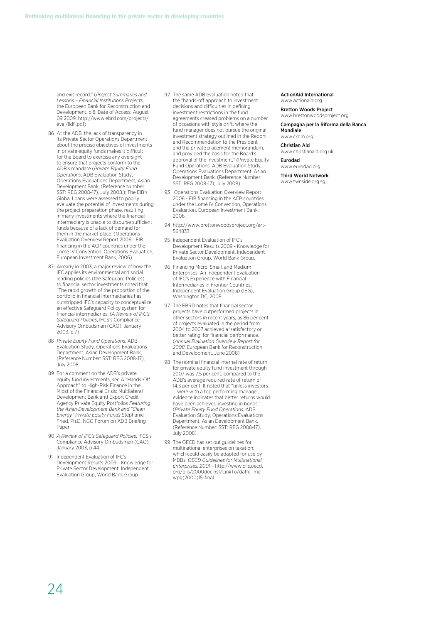and exit record." (*Project Summaries and Lessons – Financial Institutions Projects*, the European Bank for Reconstruction and Development, p.8. Date of Access: August 09 2009. http://www.ebrd.com/projects/ eval/lldfi.pdf)

- 86 At the ADB, the lack of transparency in its Private Sector Operations Department about the precise objectives of investments in private equity funds makes it difficult for the Board to exercise any oversight to ensure that projects conform to the ADB's mandate (*Private Equity Fund Operations*, ADB Evaluation Study, Operations Evaluations Department, Asian Development Bank, (Reference Number: SST: REG 2008-17), July 2008.); The EIB's Global Loans were assessed to poorly evaluate the potential of investments during the project preparation phase, resulting in many investments where the financial intermediary is unable to disburse sufficient funds because of a lack of demand for them in the market place. (Operations Evaluation Overview Report 2006 - EIB financing in the ACP countries under the Lomé IV Convention, Operations Evaluation, European Investment Bank, 2006)
- 87 Already in 2003, a major review of how the IFC applies its environmental and social lending policies (the Safeguard Policies) to financial sector investments noted that "The rapid growth of the proportion of the portfolio in financial intermediaries has outstripped IFC's capacity to conceptualize an effective Safeguard Policy system for financial intermediaries. (*A Review of IFC's Safeguard Policies*, IFCS's Compliance Advisory Ombudsman (CAO), January 2003, p.7)
- 88 *Private Equity Fund Operations*, ADB Evaluation Study, Operations Evaluations Department, Asian Development Bank, (Reference Number: SST: REG 2008-17), July 2008.
- 89 For a comment on the ADB's private equity fund investments, see A "Hands-Off Approach" to High-Risk Finance in the Midst of the Financial Crisis: Multilateral Development Bank and Export Credit Agency Private Equity Portfolios *Featuring the Asian Development Bank and "Clean Energy" Private Equity Funds* Stephanie Fried, Ph.D, NGO Forum on ADB Briefing Paper
- 90 *A Review of IFC's Safeguard Policies*, IFCS's Compliance Advisory Ombudsman (CAO), January 2003, p.44.
- Independent Evaluation of IFC's Development Results 2009 - Knowledge for Private Sector Development, Independent Evaluation Group, World Bank Group.
- 92 The same ADB evaluation noted that the "hands-off approach to investment decisions and difficulties in defining investment restrictions in the fund agreements created problems on a number of occasions with style drift, where the fund manager does not pursue the original investment strategy outlined in the Report and Recommendation to the President and the private placement memorandum, and provided the basis for the Board's approval of the investment." (Private Equity Fund Operations, ADB Evaluation Study, Operations Evaluations Department, Asian Development Bank, (Reference Number: SST: REG 2008-17), July 2008)
- 93 Operations Evaluation Overview Report 2006 - EIB financing in the ACP countries under the Lomé IV Convention, Operations Evaluation, European Investment Bank, 2006.
- 94 http://www.brettonwoodsproject.org/art-564833
- 95 Independent Evaluation of IFC's Development Results 2009 - Knowledge for Private Sector Development, Independent Evaluation Group, World Bank Group.
- 96 Financing Micro, Small, and Medium Enterprises: An Independent Evaluation of IFC's Experience with Financial Intermediaries in Frontier Countries, Independent Evaluation Group (IEG), Washington DC, 2008.
- 97 The EBRD notes that financial sector projects have outperformed projects in other sectors in recent years, as 86 per cent of projects evaluated in the period from 2004 to 2007 achieved a 'satisfactory or better rating' for financial performance. (*Annual Evaluation Overview Report for 2008*, European Bank for Reconstruction and Development, June 2008)
- 98 The nominal financial internal rate of return for private equity fund investment through 2007 was 7.5 per cent, compared to the ADB's average required rate of return of 14.3 per cent. It noted that "unless investors were with a top performing manager, evidence indicates that better returns would have been achieved investing in bonds." (*Private Equity Fund Operations*, ADB Evaluation Study, Operations Evaluations Department, Asian Development Bank, (Reference Number: SST: REG 2008-17), July 2008)
- 99 The OECD has set out guidelines for multinational enterprises on taxation, which could easily be adapted for use by MDBs. *OECD Guidelines for Multinational Enterprises, 2001* – http://www.olis.oecd. org/olis/2000doc.nsf/LinkTo/daffe-imewpg(2000)15-final

#### ActionAid International www.actionaid.org

Bretton Woods Project www.brettonwoodsproject.org

Campagna per la Riforma della Banca

Mondiale www.crbm.org

Christian Aid www.christianaid.org.uk

Eurodad www.eurodad.org

Third World Network www.twnside.org.sg